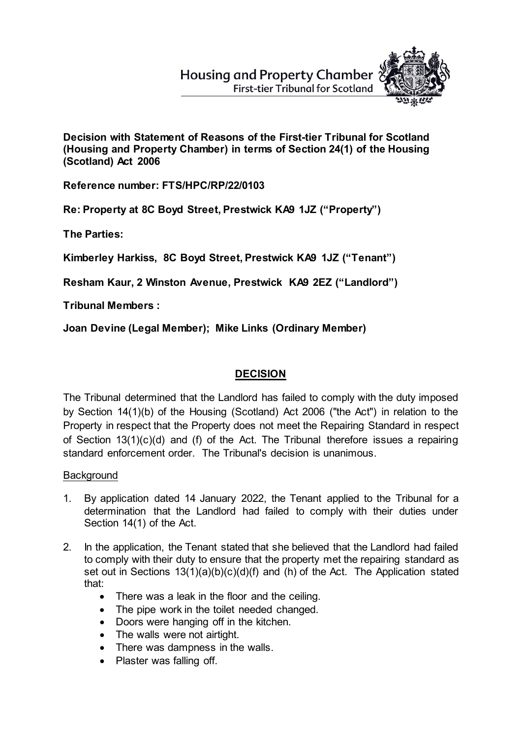**Housing and Property Chamber First-tier Tribunal for Scotland** 



**Decision with Statement of Reasons of the First-tier Tribunal for Scotland (Housing and Property Chamber) in terms of Section 24(1) of the Housing (Scotland) Act 2006**

**Reference number: FTS/HPC/RP/22/0103**

**Re: Property at 8C Boyd Street, Prestwick KA9 1JZ ("Property")**

**The Parties:**

**Kimberley Harkiss, 8C Boyd Street, Prestwick KA9 1JZ ("Tenant")**

**Resham Kaur, 2 Winston Avenue, Prestwick KA9 2EZ ("Landlord")** 

**Tribunal Members :**

**Joan Devine (Legal Member); Mike Links (Ordinary Member)**

## **DECISION**

The Tribunal determined that the Landlord has failed to comply with the duty imposed by Section 14(1)(b) of the Housing (Scotland) Act 2006 ("the Act") in relation to the Property in respect that the Property does not meet the Repairing Standard in respect of Section 13(1)(c)(d) and (f) of the Act. The Tribunal therefore issues a repairing standard enforcement order. The Tribunal's decision is unanimous.

### **Background**

- 1. By application dated 14 January 2022, the Tenant applied to the Tribunal for a determination that the Landlord had failed to comply with their duties under Section 14(1) of the Act.
- 2. In the application, the Tenant stated that she believed that the Landlord had failed to comply with their duty to ensure that the property met the repairing standard as set out in Sections 13(1)(a)(b)(c)(d)(f) and (h) of the Act. The Application stated that:
	- There was a leak in the floor and the ceiling.
	- The pipe work in the toilet needed changed.
	- Doors were hanging off in the kitchen.
	- The walls were not airtight.
	- There was dampness in the walls.
	- Plaster was falling off.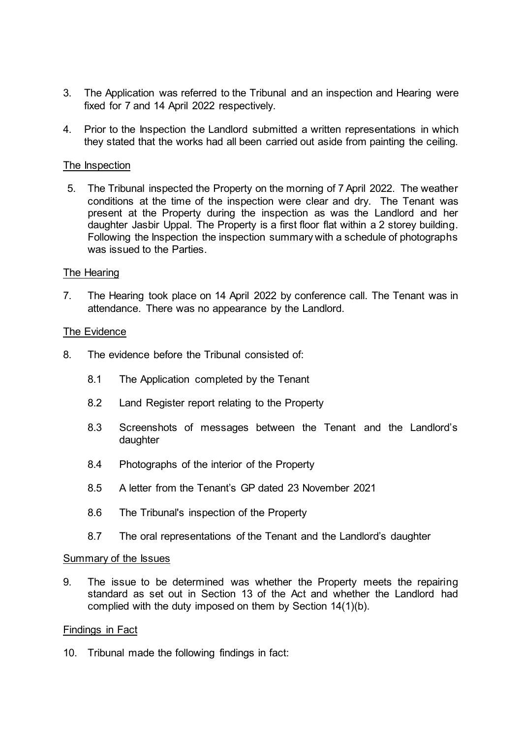- 3. The Application was referred to the Tribunal and an inspection and Hearing were fixed for 7 and 14 April 2022 respectively.
- 4. Prior to the Inspection the Landlord submitted a written representations in which they stated that the works had all been carried out aside from painting the ceiling.

#### The Inspection

5. The Tribunal inspected the Property on the morning of 7 April 2022. The weather conditions at the time of the inspection were clear and dry. The Tenant was present at the Property during the inspection as was the Landlord and her daughter Jasbir Uppal. The Property is a first floor flat within a 2 storey building. Following the Inspection the inspection summary with a schedule of photographs was issued to the Parties.

#### The Hearing

7. The Hearing took place on 14 April 2022 by conference call. The Tenant was in attendance. There was no appearance by the Landlord.

#### The Evidence

- 8. The evidence before the Tribunal consisted of:
	- 8.1 The Application completed by the Tenant
	- 8.2 Land Register report relating to the Property
	- 8.3 Screenshots of messages between the Tenant and the Landlord's daughter
	- 8.4 Photographs of the interior of the Property
	- 8.5 A letter from the Tenant's GP dated 23 November 2021
	- 8.6 The Tribunal's inspection of the Property
	- 8.7 The oral representations of the Tenant and the Landlord's daughter

#### Summary of the Issues

9. The issue to be determined was whether the Property meets the repairing standard as set out in Section 13 of the Act and whether the Landlord had complied with the duty imposed on them by Section 14(1)(b).

#### Findings in Fact

10. Tribunal made the following findings in fact: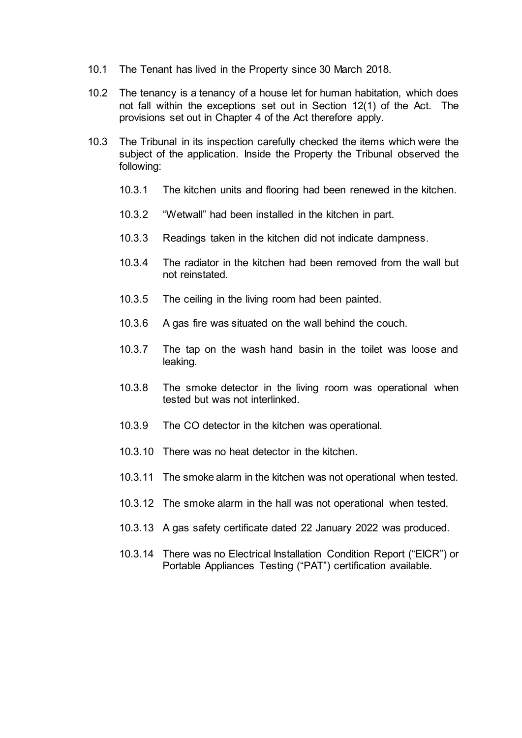- 10.1 The Tenant has lived in the Property since 30 March 2018.
- 10.2 The tenancy is a tenancy of a house let for human habitation, which does not fall within the exceptions set out in Section 12(1) of the Act. The provisions set out in Chapter 4 of the Act therefore apply.
- 10.3 The Tribunal in its inspection carefully checked the items which were the subject of the application. Inside the Property the Tribunal observed the following:
	- 10.3.1 The kitchen units and flooring had been renewed in the kitchen.
	- 10.3.2 "Wetwall" had been installed in the kitchen in part.
	- 10.3.3 Readings taken in the kitchen did not indicate dampness.
	- 10.3.4 The radiator in the kitchen had been removed from the wall but not reinstated.
	- 10.3.5 The ceiling in the living room had been painted.
	- 10.3.6 A gas fire was situated on the wall behind the couch.
	- 10.3.7 The tap on the wash hand basin in the toilet was loose and leaking.
	- 10.3.8 The smoke detector in the living room was operational when tested but was not interlinked.
	- 10.3.9 The CO detector in the kitchen was operational.
	- 10.3.10 There was no heat detector in the kitchen.
	- 10.3.11 The smoke alarm in the kitchen was not operational when tested.
	- 10.3.12 The smoke alarm in the hall was not operational when tested.
	- 10.3.13 A gas safety certificate dated 22 January 2022 was produced.
	- 10.3.14 There was no Electrical Installation Condition Report ("EICR") or Portable Appliances Testing ("PAT") certification available.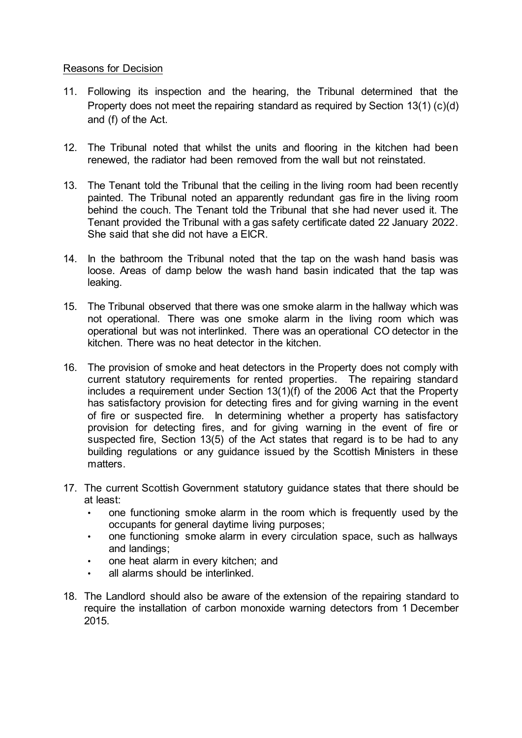#### Reasons for Decision

- 11. Following its inspection and the hearing, the Tribunal determined that the Property does not meet the repairing standard as required by Section 13(1) (c)(d) and (f) of the Act.
- 12. The Tribunal noted that whilst the units and flooring in the kitchen had been renewed, the radiator had been removed from the wall but not reinstated.
- 13. The Tenant told the Tribunal that the ceiling in the living room had been recently painted. The Tribunal noted an apparently redundant gas fire in the living room behind the couch. The Tenant told the Tribunal that she had never used it. The Tenant provided the Tribunal with a gas safety certificate dated 22 January 2022. She said that she did not have a EICR.
- 14. In the bathroom the Tribunal noted that the tap on the wash hand basis was loose. Areas of damp below the wash hand basin indicated that the tap was leaking.
- 15. The Tribunal observed that there was one smoke alarm in the hallway which was not operational. There was one smoke alarm in the living room which was operational but was not interlinked. There was an operational CO detector in the kitchen. There was no heat detector in the kitchen.
- 16. The provision of smoke and heat detectors in the Property does not comply with current statutory requirements for rented properties. The repairing standard includes a requirement under Section 13(1)(f) of the 2006 Act that the Property has satisfactory provision for detecting fires and for giving warning in the event of fire or suspected fire. In determining whether a property has satisfactory provision for detecting fires, and for giving warning in the event of fire or suspected fire, Section 13(5) of the Act states that regard is to be had to any building regulations or any guidance issued by the Scottish Ministers in these matters.
- 17. The current Scottish Government statutory guidance states that there should be at least:
	- one functioning smoke alarm in the room which is frequently used by the occupants for general daytime living purposes;
	- one functioning smoke alarm in every circulation space, such as hallways and landings;
	- one heat alarm in every kitchen; and
	- all alarms should be interlinked.
- 18. The Landlord should also be aware of the extension of the repairing standard to require the installation of carbon monoxide warning detectors from 1 December 2015.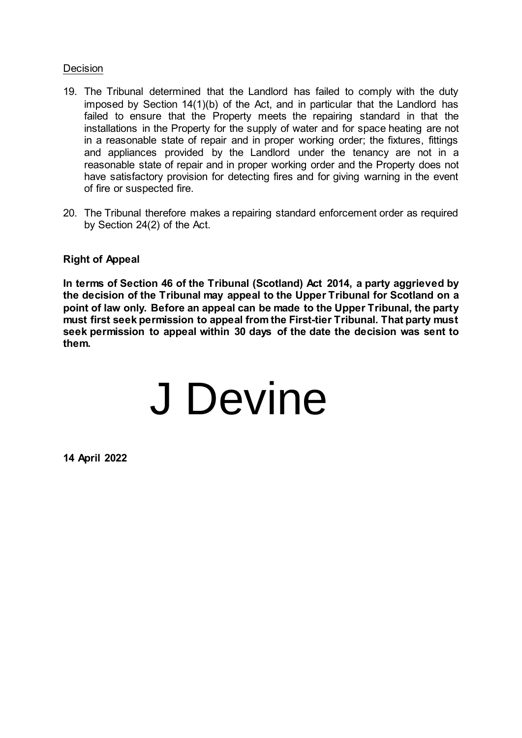#### **Decision**

- 19. The Tribunal determined that the Landlord has failed to comply with the duty imposed by Section 14(1)(b) of the Act, and in particular that the Landlord has failed to ensure that the Property meets the repairing standard in that the installations in the Property for the supply of water and for space heating are not in a reasonable state of repair and in proper working order; the fixtures, fittings and appliances provided by the Landlord under the tenancy are not in a reasonable state of repair and in proper working order and the Property does not have satisfactory provision for detecting fires and for giving warning in the event of fire or suspected fire.
- 20. The Tribunal therefore makes a repairing standard enforcement order as required by Section 24(2) of the Act.

#### **Right of Appeal**

**In terms of Section 46 of the Tribunal (Scotland) Act 2014, a party aggrieved by the decision of the Tribunal may appeal to the Upper Tribunal for Scotland on a point of law only. Before an appeal can be made to the Upper Tribunal, the party must first seek permission to appeal from the First-tier Tribunal. That party must seek permission to appeal within 30 days of the date the decision was sent to them.**

# J Devine

**14 April 2022**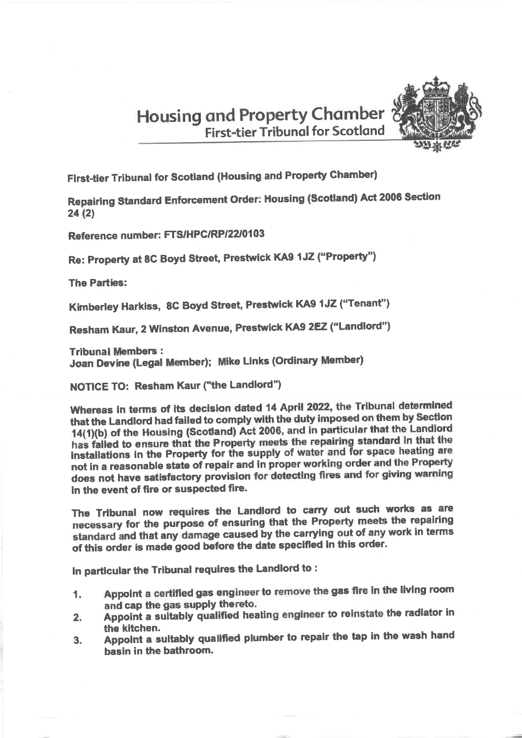**Housing and Property Chamber First-tier Tribunal for Scotland** 



First-tier Tribunal for Scotland (Housing and Property Chamber)

Repairing Standard Enforcement Order: Housing (Scotland) Act 2006 Section  $24(2)$ 

Reference number: FTS/HPC/RP/22/0103

Re: Property at 8C Boyd Street, Prestwick KA9 1JZ ("Property")

**The Parties:** 

Kimberley Harkiss, 8C Boyd Street, Prestwick KA9 1JZ ("Tenant")

Resham Kaur, 2 Winston Avenue, Prestwick KA9 2EZ ("Landlord")

**Tribunal Members:** 

Joan Devine (Legal Member); Mike Links (Ordinary Member)

**NOTICE TO: Resham Kaur ("the Landlord")** 

Whereas in terms of its decision dated 14 April 2022, the Tribunal determined that the Landlord had failed to comply with the duty imposed on them by Section 14(1)(b) of the Housing (Scotland) Act 2006, and in particular that the Landlord has failed to ensure that the Property meets the repairing standard in that the installations in the Property for the supply of water and for space heating are not in a reasonable state of repair and in proper working order and the Property does not have satisfactory provision for detecting fires and for giving warning in the event of fire or suspected fire.

The Tribunal now requires the Landlord to carry out such works as are necessary for the purpose of ensuring that the Property meets the repairing standard and that any damage caused by the carrying out of any work in terms of this order is made good before the date specified in this order.

In particular the Tribunal requires the Landlord to:

- Appoint a certified gas engineer to remove the gas fire in the living room 1. and cap the gas supply thereto.
- Appoint a suitably qualified heating engineer to reinstate the radiator in  $2.$ the kitchen.
- Appoint a suitably qualified plumber to repair the tap in the wash hand  $3.$ hasin in the bathroom.